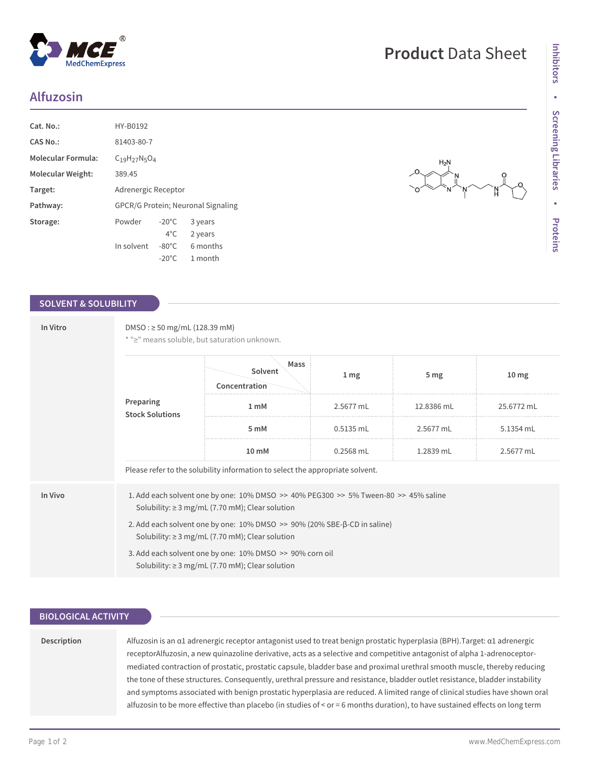## **Alfuzosin**

| Cat. No.:                 | HY-B0192                                  |                 |          |  |  |
|---------------------------|-------------------------------------------|-----------------|----------|--|--|
| <b>CAS No.:</b>           | 81403-80-7                                |                 |          |  |  |
| <b>Molecular Formula:</b> | $C_{19}H_{27}N_5O_4$                      |                 |          |  |  |
| Molecular Weight:         | 389.45                                    |                 |          |  |  |
| Target:                   | Adrenergic Receptor                       |                 |          |  |  |
| Pathway:                  | <b>GPCR/G Protein: Neuronal Signaling</b> |                 |          |  |  |
| Storage:                  | Powder                                    | $-20^{\circ}$ C | 3 years  |  |  |
|                           |                                           | $4^{\circ}$ C   | 2 years  |  |  |
|                           | In solvent                                | $-80^{\circ}$ C | 6 months |  |  |
|                           |                                           | $-20^{\circ}$ C | 1 month  |  |  |

### **SOLVENT & SOLUBILITY**

| In Vitro | DMSO: $\geq$ 50 mg/mL (128.39 mM)<br>* ">" means soluble, but saturation unknown.                                                |                                                                                                                                                            |                 |                 |                  |  |  |
|----------|----------------------------------------------------------------------------------------------------------------------------------|------------------------------------------------------------------------------------------------------------------------------------------------------------|-----------------|-----------------|------------------|--|--|
|          | Preparing<br><b>Stock Solutions</b>                                                                                              | Mass<br>Solvent<br>Concentration                                                                                                                           | 1 <sub>mg</sub> | 5 <sub>mg</sub> | 10 <sub>mg</sub> |  |  |
|          |                                                                                                                                  | 1 <sub>mM</sub>                                                                                                                                            | 2.5677 mL       | 12.8386 mL      | 25.6772 mL       |  |  |
|          |                                                                                                                                  | 5 mM                                                                                                                                                       | $0.5135$ mL     | 2.5677 mL       | 5.1354 mL        |  |  |
|          |                                                                                                                                  | 10 mM                                                                                                                                                      | $0.2568$ mL     | 1.2839 mL       | 2.5677 mL        |  |  |
|          | Please refer to the solubility information to select the appropriate solvent.                                                    |                                                                                                                                                            |                 |                 |                  |  |  |
| In Vivo  |                                                                                                                                  | 1. Add each solvent one by one: $10\%$ DMSO $\geq$ 40% PEG300 $\geq$ 5% Tween-80 $\geq$ 45% saline<br>Solubility: $\geq$ 3 mg/mL (7.70 mM); Clear solution |                 |                 |                  |  |  |
|          | 2. Add each solvent one by one: 10% DMSO >> 90% (20% SBE-β-CD in saline)<br>Solubility: $\geq$ 3 mg/mL (7.70 mM); Clear solution |                                                                                                                                                            |                 |                 |                  |  |  |
|          |                                                                                                                                  | 3. Add each solvent one by one: 10% DMSO >> 90% corn oil<br>Solubility: $\geq$ 3 mg/mL (7.70 mM); Clear solution                                           |                 |                 |                  |  |  |

### **BIOLOGICAL ACTIVITY**

**Description**

| Alfuzosin is an a1 adrenergic receptor antagonist used to treat benign prostatic hyperplasia (BPH). Target: a1 adrenergic    |
|------------------------------------------------------------------------------------------------------------------------------|
| receptorAlfuzosin, a new quinazoline derivative, acts as a selective and competitive antagonist of alpha 1-adrenoceptor-     |
| mediated contraction of prostatic, prostatic capsule, bladder base and proximal urethral smooth muscle, thereby reducing     |
| the tone of these structures. Consequently, urethral pressure and resistance, bladder outlet resistance, bladder instability |
| and symptoms associated with benign prostatic hyperplasia are reduced. A limited range of clinical studies have shown oral   |
| alfuzosin to be more effective than placebo (in studies of < or = 6 months duration), to have sustained effects on long term |

# **Product** Data Sheet